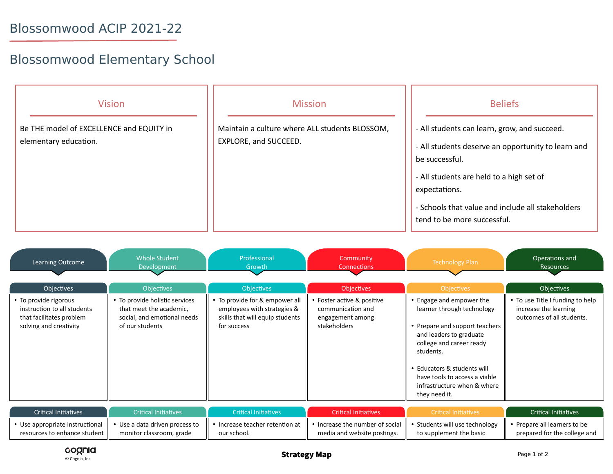## Blossomwood ACIP 2021-22

## Blossomwood Elementary School

| <b>Vision</b><br>Be THE model of EXCELLENCE and EQUITY in<br>elementary education. | <b>Mission</b><br>Maintain a culture where ALL students BLOSSOM,<br>EXPLORE, and SUCCEED. | <b>Beliefs</b><br>- All students can learn, grow, and succeed.<br>- All students deserve an opportunity to learn and<br>be successful.        |  |
|------------------------------------------------------------------------------------|-------------------------------------------------------------------------------------------|-----------------------------------------------------------------------------------------------------------------------------------------------|--|
|                                                                                    |                                                                                           | - All students are held to a high set of<br>expectations.<br>- Schools that value and include all stakeholders<br>tend to be more successful. |  |

| Learning Outcome                                                                                           | <b>Whole Student</b><br>Development                                                                         | Professional<br>Growth                                                                                          | Community<br><b>Connections</b>                                                     | <b>Technology Plan</b>                                                                                                                                                                                                                                                       | Operations and<br><b>Resources</b>                                                     |
|------------------------------------------------------------------------------------------------------------|-------------------------------------------------------------------------------------------------------------|-----------------------------------------------------------------------------------------------------------------|-------------------------------------------------------------------------------------|------------------------------------------------------------------------------------------------------------------------------------------------------------------------------------------------------------------------------------------------------------------------------|----------------------------------------------------------------------------------------|
| <b>Objectives</b>                                                                                          | Objectives                                                                                                  | <b>Objectives</b>                                                                                               | <b>Objectives</b>                                                                   | <b>Objectives</b>                                                                                                                                                                                                                                                            | <b>Objectives</b>                                                                      |
| • To provide rigorous<br>instruction to all students<br>that facilitates problem<br>solving and creativity | • To provide holistic services<br>that meet the academic,<br>social, and emotional needs<br>of our students | • To provide for & empower all<br>employees with strategies &<br>skills that will equip students<br>for success | • Foster active & positive<br>communication and<br>engagement among<br>stakeholders | • Engage and empower the<br>learner through technology<br>• Prepare and support teachers<br>and leaders to graduate<br>college and career ready<br>students.<br>• Educators & students will<br>have tools to access a viable<br>infrastructure when & where<br>they need it. | • To use Title I funding to help<br>increase the learning<br>outcomes of all students. |
| <b>Critical Initiatives</b>                                                                                | <b>Critical Initiatives</b>                                                                                 | <b>Critical Initiatives</b>                                                                                     | <b>Critical Initiatives</b>                                                         | <b>Critical Initiatives</b>                                                                                                                                                                                                                                                  | <b>Critical Initiatives</b>                                                            |
| • Use appropriate instructional<br>resources to enhance student                                            | • Use a data driven process to<br>monitor classroom, grade                                                  | • Increase teacher retention at<br>our school.                                                                  | • Increase the number of social<br>media and website postings.                      | • Students will use technology<br>to supplement the basic                                                                                                                                                                                                                    | • Prepare all learners to be<br>prepared for the college and                           |